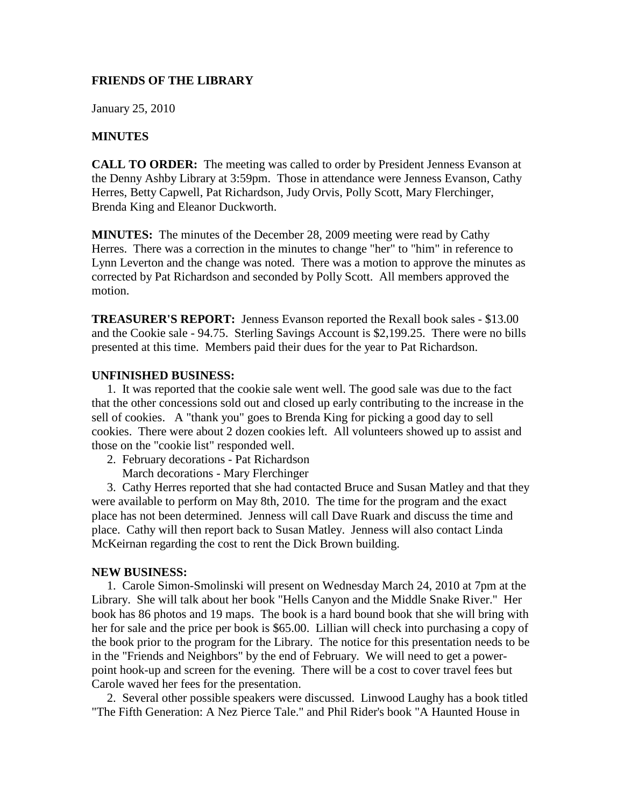# **FRIENDS OF THE LIBRARY**

January 25, 2010

# **MINUTES**

**CALL TO ORDER:** The meeting was called to order by President Jenness Evanson at the Denny Ashby Library at 3:59pm. Those in attendance were Jenness Evanson, Cathy Herres, Betty Capwell, Pat Richardson, Judy Orvis, Polly Scott, Mary Flerchinger, Brenda King and Eleanor Duckworth.

**MINUTES:** The minutes of the December 28, 2009 meeting were read by Cathy Herres. There was a correction in the minutes to change "her" to "him" in reference to Lynn Leverton and the change was noted. There was a motion to approve the minutes as corrected by Pat Richardson and seconded by Polly Scott. All members approved the motion.

**TREASURER'S REPORT:** Jenness Evanson reported the Rexall book sales - \$13.00 and the Cookie sale - 94.75. Sterling Savings Account is \$2,199.25. There were no bills presented at this time. Members paid their dues for the year to Pat Richardson.

### **UNFINISHED BUSINESS:**

 1. It was reported that the cookie sale went well. The good sale was due to the fact that the other concessions sold out and closed up early contributing to the increase in the sell of cookies. A "thank you" goes to Brenda King for picking a good day to sell cookies. There were about 2 dozen cookies left. All volunteers showed up to assist and those on the "cookie list" responded well.

- 2. February decorations Pat Richardson
	- March decorations Mary Flerchinger

 3. Cathy Herres reported that she had contacted Bruce and Susan Matley and that they were available to perform on May 8th, 2010. The time for the program and the exact place has not been determined. Jenness will call Dave Ruark and discuss the time and place. Cathy will then report back to Susan Matley. Jenness will also contact Linda McKeirnan regarding the cost to rent the Dick Brown building.

### **NEW BUSINESS:**

 1. Carole Simon-Smolinski will present on Wednesday March 24, 2010 at 7pm at the Library. She will talk about her book "Hells Canyon and the Middle Snake River." Her book has 86 photos and 19 maps. The book is a hard bound book that she will bring with her for sale and the price per book is \$65.00. Lillian will check into purchasing a copy of the book prior to the program for the Library. The notice for this presentation needs to be in the "Friends and Neighbors" by the end of February. We will need to get a powerpoint hook-up and screen for the evening. There will be a cost to cover travel fees but Carole waved her fees for the presentation.

 2. Several other possible speakers were discussed. Linwood Laughy has a book titled "The Fifth Generation: A Nez Pierce Tale." and Phil Rider's book "A Haunted House in